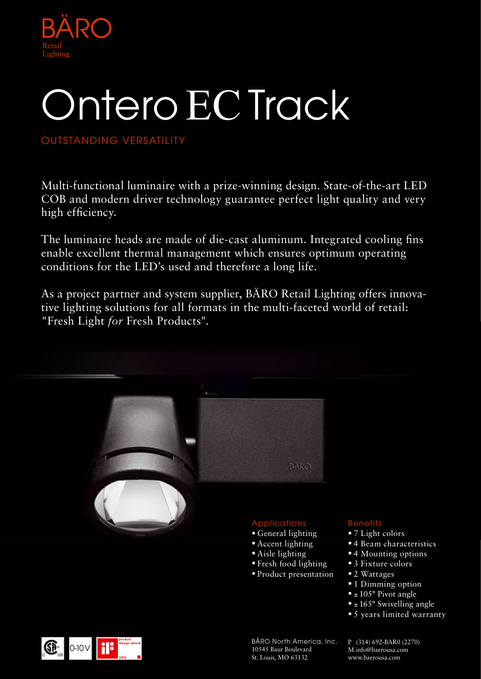

# Ontero ECTrack

### OUTSTANDING VERSATILITY

Multi-functional luminaire with a prize-winning design. State-of-the-art LED COB and modern driver technology guarantee perfect light quality and very high efficiency.

The luminaire heads are made of die-cast aluminum. Integrated cooling fins enable excellent thermal management which ensures optimum operating conditions for the LED's used and therefore a long life.

As a project partner and system supplier, BÄRO Retail Lighting offers innovative lighting solutions for all formats in the multi-faceted world of retail: "Fresh Light *for* Fresh Products".



- 7 Light colors
- 4 Beam characteristics
- 4 Mounting options
- 
- 
- 1 Dimming option
- $\bullet$  ± 105° Pivot angle
- $\bullet$  ± 165 $\degree$  Swivelling angle
- 5 years limited warranty